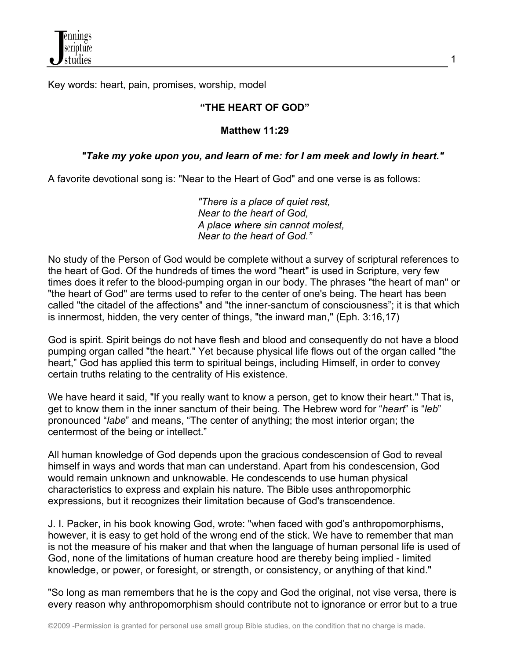Key words: heart, pain, promises, worship, model

#### **"THE HEART OF GOD"**

#### **Matthew 11:29**

### *"Take my yoke upon you, and learn of me: for I am meek and lowly in heart."*

A favorite devotional song is: "Near to the Heart of God" and one verse is as follows:

*"There is a place of quiet rest, Near to the heart of God, A place where sin cannot molest, Near to the heart of God."*

No study of the Person of God would be complete without a survey of scriptural references to the heart of God. Of the hundreds of times the word "heart" is used in Scripture, very few times does it refer to the blood-pumping organ in our body. The phrases "the heart of man" or "the heart of God" are terms used to refer to the center of one's being. The heart has been called "the citadel of the affections" and "the inner-sanctum of consciousness"; it is that which is innermost, hidden, the very center of things, "the inward man," (Eph. 3:16,17)

God is spirit. Spirit beings do not have flesh and blood and consequently do not have a blood pumping organ called "the heart." Yet because physical life flows out of the organ called "the heart," God has applied this term to spiritual beings, including Himself, in order to convey certain truths relating to the centrality of His existence.

We have heard it said, "If you really want to know a person, get to know their heart." That is, get to know them in the inner sanctum of their being. The Hebrew word for "*heart*" is "*leb*" pronounced "*labe*" and means, "The center of anything; the most interior organ; the centermost of the being or intellect."

All human knowledge of God depends upon the gracious condescension of God to reveal himself in ways and words that man can understand. Apart from his condescension, God would remain unknown and unknowable. He condescends to use human physical characteristics to express and explain his nature. The Bible uses anthropomorphic expressions, but it recognizes their limitation because of God's transcendence.

J. I. Packer, in his book knowing God, wrote: "when faced with god's anthropomorphisms, however, it is easy to get hold of the wrong end of the stick. We have to remember that man is not the measure of his maker and that when the language of human personal life is used of God, none of the limitations of human creature hood are thereby being implied - limited knowledge, or power, or foresight, or strength, or consistency, or anything of that kind."

"So long as man remembers that he is the copy and God the original, not vise versa, there is every reason why anthropomorphism should contribute not to ignorance or error but to a true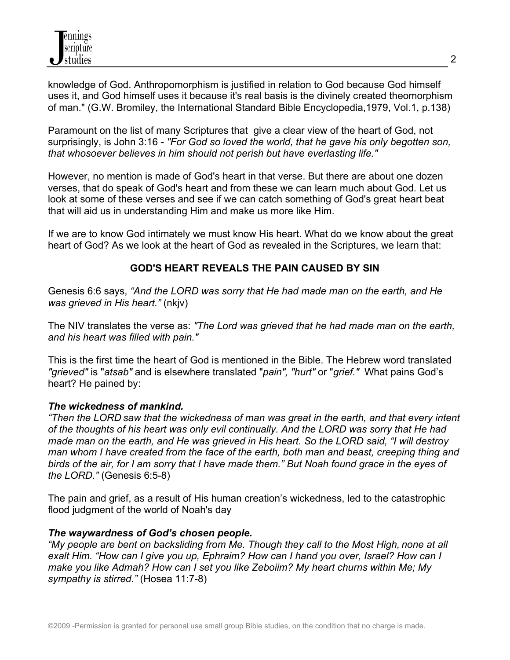knowledge of God. Anthropomorphism is justified in relation to God because God himself uses it, and God himself uses it because it's real basis is the divinely created theomorphism of man." (G.W. Bromiley, the International Standard Bible Encyclopedia,1979, Vol.1, p.138)

Paramount on the list of many Scriptures that give a clear view of the heart of God, not surprisingly, is John 3:16 - *"For God so loved the world, that he gave his only begotten son, that whosoever believes in him should not perish but have everlasting life."*

However, no mention is made of God's heart in that verse. But there are about one dozen verses, that do speak of God's heart and from these we can learn much about God. Let us look at some of these verses and see if we can catch something of God's great heart beat that will aid us in understanding Him and make us more like Him.

If we are to know God intimately we must know His heart. What do we know about the great heart of God? As we look at the heart of God as revealed in the Scriptures, we learn that:

# **GOD'S HEART REVEALS THE PAIN CAUSED BY SIN**

Genesis 6:6 says, *"And the LORD was sorry that He had made man on the earth, and He was grieved in His heart."* (nkjv)

The NIV translates the verse as: *"The Lord was grieved that he had made man on the earth, and his heart was filled with pain."* 

This is the first time the heart of God is mentioned in the Bible. The Hebrew word translated *"grieved"* is "*atsab"* and is elsewhere translated "*pain", "hurt"* or "*grief."* What pains God's heart? He pained by:

#### *The wickedness of mankind.*

*"Then the LORD saw that the wickedness of man was great in the earth, and that every intent of the thoughts of his heart was only evil continually. And the LORD was sorry that He had made man on the earth, and He was grieved in His heart. So the LORD said, "I will destroy man whom I have created from the face of the earth, both man and beast, creeping thing and birds of the air, for I am sorry that I have made them." But Noah found grace in the eyes of the LORD."* (Genesis 6:5-8)

The pain and grief, as a result of His human creation's wickedness, led to the catastrophic flood judgment of the world of Noah's day

#### *The waywardness of God's chosen people.*

*"My people are bent on backsliding from Me. Though they call to the Most High, none at all exalt Him. "How can I give you up, Ephraim? How can I hand you over, Israel? How can I make you like Admah? How can I set you like Zeboiim? My heart churns within Me; My sympathy is stirred."* (Hosea 11:7-8)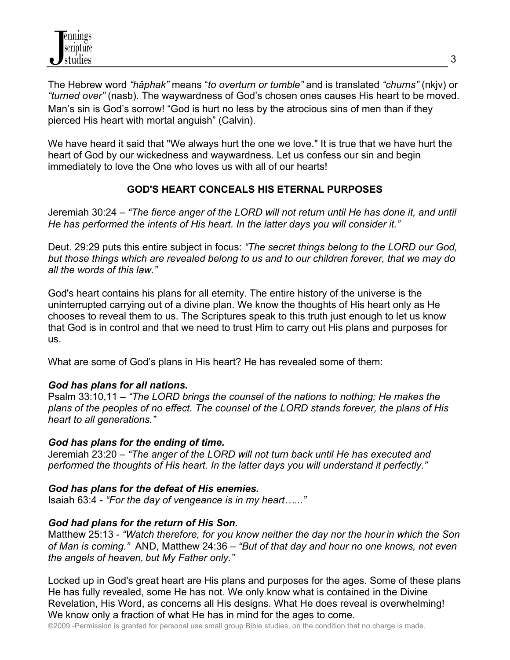The Hebrew word *"hâphak"* means "*to overturn or tumble"* and is translated *"churns"* (nkjv) or *"turned over"* (nasb). The waywardness of God's chosen ones causes His heart to be moved. Man's sin is God's sorrow! "God is hurt no less by the atrocious sins of men than if they pierced His heart with mortal anguish" (Calvin).

We have heard it said that "We always hurt the one we love." It is true that we have hurt the heart of God by our wickedness and waywardness. Let us confess our sin and begin immediately to love the One who loves us with all of our hearts!

# **GOD'S HEART CONCEALS HIS ETERNAL PURPOSES**

Jeremiah 30:24 – *"The fierce anger of the LORD will not return until He has done it, and until He has performed the intents of His heart. In the latter days you will consider it."*

Deut. 29:29 puts this entire subject in focus: *"The secret things belong to the LORD our God, but those things which are revealed belong to us and to our children forever, that we may do all the words of this law."*

God's heart contains his plans for all eternity. The entire history of the universe is the uninterrupted carrying out of a divine plan. We know the thoughts of His heart only as He chooses to reveal them to us. The Scriptures speak to this truth just enough to let us know that God is in control and that we need to trust Him to carry out His plans and purposes for us.

What are some of God's plans in His heart? He has revealed some of them:

### *God has plans for all nations.*

Psalm 33:10,11 – *"The LORD brings the counsel of the nations to nothing; He makes the plans of the peoples of no effect. The counsel of the LORD stands forever, the plans of His heart to all generations."*

### *God has plans for the ending of time.*

Jeremiah 23:20 – *"The anger of the LORD will not turn back until He has executed and performed the thoughts of His heart. In the latter days you will understand it perfectly."*

### *God has plans for the defeat of His enemies.*

Isaiah 63:4 - *"For the day of vengeance is in my heart…..."*

### *God had plans for the return of His Son.*

Matthew 25:13 - *"Watch therefore, for you know neither the day nor the hour in which the Son of Man is coming."* AND, Matthew 24:36 – *"But of that day and hour no one knows, not even the angels of heaven, but My Father only."*

Locked up in God's great heart are His plans and purposes for the ages. Some of these plans He has fully revealed, some He has not. We only know what is contained in the Divine Revelation, His Word, as concerns all His designs. What He does reveal is overwhelming! We know only a fraction of what He has in mind for the ages to come.

©2009 -Permission is granted for personal use small group Bible studies, on the condition that no charge is made.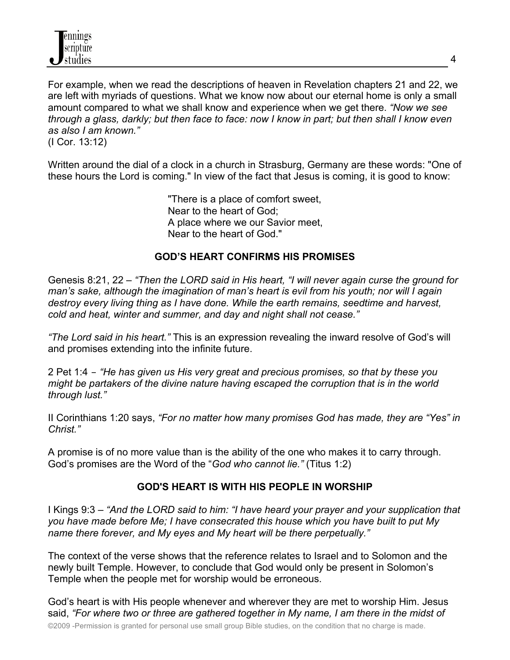For example, when we read the descriptions of heaven in Revelation chapters 21 and 22, we are left with myriads of questions. What we know now about our eternal home is only a small amount compared to what we shall know and experience when we get there. *"Now we see through a glass, darkly; but then face to face: now I know in part; but then shall I know even as also I am known."*

(I Cor. 13:12)

Written around the dial of a clock in a church in Strasburg, Germany are these words: "One of these hours the Lord is coming." In view of the fact that Jesus is coming, it is good to know:

> "There is a place of comfort sweet, Near to the heart of God; A place where we our Savior meet, Near to the heart of God."

### **GOD'S HEART CONFIRMS HIS PROMISES**

Genesis 8:21, 22 – *"Then the LORD said in His heart, "I will never again curse the ground for man's sake, although the imagination of man's heart is evil from his youth; nor will I again destroy every living thing as I have done. While the earth remains, seedtime and harvest, cold and heat, winter and summer, and day and night shall not cease."* 

*"The Lord said in his heart."* This is an expression revealing the inward resolve of God's will and promises extending into the infinite future.

2 Pet 1:4 – *"He has given us His very great and precious promises, so that by these you might be partakers of the divine nature having escaped the corruption that is in the world through lust."*

II Corinthians 1:20 says, *"For no matter how many promises God has made, they are "Yes" in Christ."*

A promise is of no more value than is the ability of the one who makes it to carry through. God's promises are the Word of the "*God who cannot lie."* (Titus 1:2)

### **GOD'S HEART IS WITH HIS PEOPLE IN WORSHIP**

I Kings 9:3 – *"And the LORD said to him: "I have heard your prayer and your supplication that you have made before Me; I have consecrated this house which you have built to put My name there forever, and My eyes and My heart will be there perpetually."*

The context of the verse shows that the reference relates to Israel and to Solomon and the newly built Temple. However, to conclude that God would only be present in Solomon's Temple when the people met for worship would be erroneous.

God's heart is with His people whenever and wherever they are met to worship Him. Jesus said, *"For where two or three are gathered together in My name, I am there in the midst of*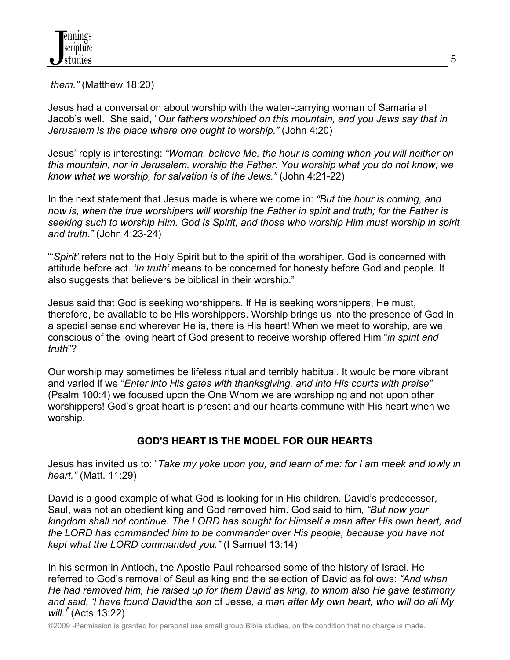*them."* (Matthew 18:20)

Jesus had a conversation about worship with the water-carrying woman of Samaria at Jacob's well. She said, "*Our fathers worshiped on this mountain, and you Jews say that in Jerusalem is the place where one ought to worship."* (John 4:20)

Jesus' reply is interesting: *"Woman, believe Me, the hour is coming when you will neither on this mountain, nor in Jerusalem, worship the Father. You worship what you do not know; we know what we worship, for salvation is of the Jews."* (John 4:21-22)

In the next statement that Jesus made is where we come in: *"But the hour is coming, and now is, when the true worshipers will worship the Father in spirit and truth; for the Father is seeking such to worship Him. God is Spirit, and those who worship Him must worship in spirit and truth."* (John 4:23-24)

"'*Spirit'* refers not to the Holy Spirit but to the spirit of the worshiper. God is concerned with attitude before act. *'In truth'* means to be concerned for honesty before God and people. It also suggests that believers be biblical in their worship."

Jesus said that God is seeking worshippers. If He is seeking worshippers, He must, therefore, be available to be His worshippers. Worship brings us into the presence of God in a special sense and wherever He is, there is His heart! When we meet to worship, are we conscious of the loving heart of God present to receive worship offered Him "*in spirit and truth*"?

Our worship may sometimes be lifeless ritual and terribly habitual. It would be more vibrant and varied if we "*Enter into His gates with thanksgiving, and into His courts with praise"* (Psalm 100:4) we focused upon the One Whom we are worshipping and not upon other worshippers! God's great heart is present and our hearts commune with His heart when we worship.

# **GOD'S HEART IS THE MODEL FOR OUR HEARTS**

Jesus has invited us to: "*Take my yoke upon you, and learn of me: for I am meek and lowly in heart."* (Matt. 11:29)

David is a good example of what God is looking for in His children. David's predecessor, Saul, was not an obedient king and God removed him. God said to him, *"But now your kingdom shall not continue. The LORD has sought for Himself a man after His own heart, and the LORD has commanded him to be commander over His people, because you have not kept what the LORD commanded you."* (I Samuel 13:14)

In his sermon in Antioch, the Apostle Paul rehearsed some of the history of Israel. He referred to God's removal of Saul as king and the selection of David as follows: *"And when He had removed him, He raised up for them David as king, to whom also He gave testimony and said, 'I have found David* the *son* of Jesse, *a man after My own heart, who will do all My will.'*" (Acts 13:22)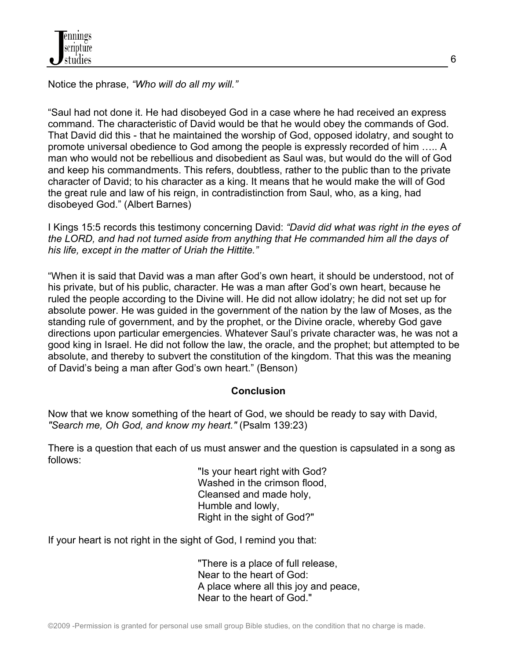

Notice the phrase, *"Who will do all my will."*

"Saul had not done it. He had disobeyed God in a case where he had received an express command. The characteristic of David would be that he would obey the commands of God. That David did this - that he maintained the worship of God, opposed idolatry, and sought to promote universal obedience to God among the people is expressly recorded of him ….. A man who would not be rebellious and disobedient as Saul was, but would do the will of God and keep his commandments. This refers, doubtless, rather to the public than to the private character of David; to his character as a king. It means that he would make the will of God the great rule and law of his reign, in contradistinction from Saul, who, as a king, had disobeyed God." (Albert Barnes)

I Kings 15:5 records this testimony concerning David: *"David did what was right in the eyes of the LORD, and had not turned aside from anything that He commanded him all the days of his life, except in the matter of Uriah the Hittite."*

"When it is said that David was a man after God's own heart, it should be understood, not of his private, but of his public, character. He was a man after God's own heart, because he ruled the people according to the Divine will. He did not allow idolatry; he did not set up for absolute power. He was guided in the government of the nation by the law of Moses, as the standing rule of government, and by the prophet, or the Divine oracle, whereby God gave directions upon particular emergencies. Whatever Saul's private character was, he was not a good king in Israel. He did not follow the law, the oracle, and the prophet; but attempted to be absolute, and thereby to subvert the constitution of the kingdom. That this was the meaning of David's being a man after God's own heart." (Benson)

#### **Conclusion**

Now that we know something of the heart of God, we should be ready to say with David, *"Search me, Oh God, and know my heart."* (Psalm 139:23)

There is a question that each of us must answer and the question is capsulated in a song as follows:

> "Is your heart right with God? Washed in the crimson flood, Cleansed and made holy, Humble and lowly, Right in the sight of God?"

If your heart is not right in the sight of God, I remind you that:

"There is a place of full release, Near to the heart of God: A place where all this joy and peace, Near to the heart of God."